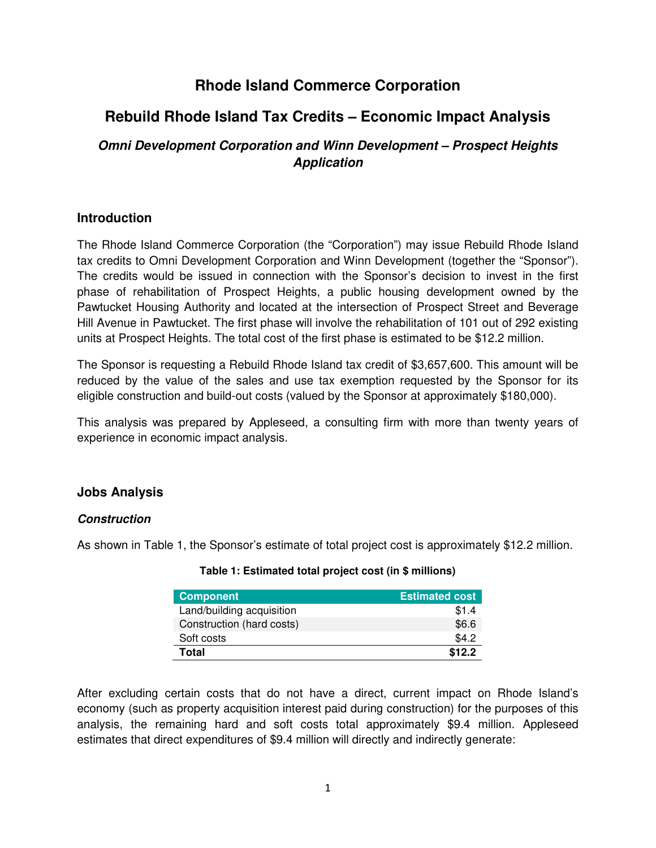## **Rhode Island Commerce Corporation**

# **Rebuild Rhode Island Tax Credits – Economic Impact Analysis**

## **Omni Development Corporation and Winn Development – Prospect Heights Application**

## **Introduction**

The Rhode Island Commerce Corporation (the "Corporation") may issue Rebuild Rhode Island tax credits to Omni Development Corporation and Winn Development (together the "Sponsor"). The credits would be issued in connection with the Sponsor's decision to invest in the first phase of rehabilitation of Prospect Heights, a public housing development owned by the Pawtucket Housing Authority and located at the intersection of Prospect Street and Beverage Hill Avenue in Pawtucket. The first phase will involve the rehabilitation of 101 out of 292 existing units at Prospect Heights. The total cost of the first phase is estimated to be \$12.2 million.

The Sponsor is requesting a Rebuild Rhode Island tax credit of \$3,657,600. This amount will be reduced by the value of the sales and use tax exemption requested by the Sponsor for its eligible construction and build-out costs (valued by the Sponsor at approximately \$180,000).

This analysis was prepared by Appleseed, a consulting firm with more than twenty years of experience in economic impact analysis.

## **Jobs Analysis**

## **Construction**

As shown in Table 1, the Sponsor's estimate of total project cost is approximately \$12.2 million.

| <b>Component</b>          | <b>Estimated cost</b> |
|---------------------------|-----------------------|
| Land/building acquisition | \$1.4                 |
| Construction (hard costs) | \$6.6                 |
| Soft costs                | \$4.2                 |
| Total                     | \$12.2                |

**Table 1: Estimated total project cost (in \$ millions)** 

After excluding certain costs that do not have a direct, current impact on Rhode Island's economy (such as property acquisition interest paid during construction) for the purposes of this analysis, the remaining hard and soft costs total approximately \$9.4 million. Appleseed estimates that direct expenditures of \$9.4 million will directly and indirectly generate: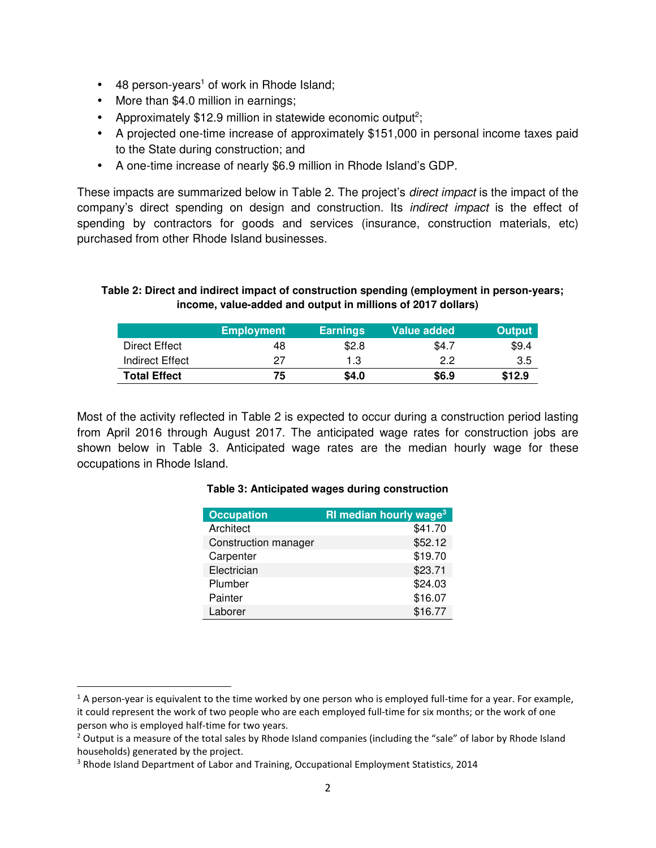- 48 person-years<sup>1</sup> of work in Rhode Island;
- More than \$4.0 million in earnings;
- Approximately \$12.9 million in statewide economic output<sup>2</sup>;
- A projected one-time increase of approximately \$151,000 in personal income taxes paid to the State during construction; and
- A one-time increase of nearly \$6.9 million in Rhode Island's GDP.

These impacts are summarized below in Table 2. The project's *direct impact* is the impact of the company's direct spending on design and construction. Its indirect impact is the effect of spending by contractors for goods and services (insurance, construction materials, etc) purchased from other Rhode Island businesses.

#### **Table 2: Direct and indirect impact of construction spending (employment in person-years; income, value-added and output in millions of 2017 dollars)**

|                     | <b>Employment</b> | <b>Earnings</b> | Value added | <b>Output</b> |
|---------------------|-------------------|-----------------|-------------|---------------|
| Direct Effect       | 48                | \$2.8           | \$4.7       | \$9.4         |
| Indirect Effect     | 27                | 1.3             | 2.2         | 3.5           |
| <b>Total Effect</b> | 75                | \$4.0           | \$6.9       | \$12.9        |

Most of the activity reflected in Table 2 is expected to occur during a construction period lasting from April 2016 through August 2017. The anticipated wage rates for construction jobs are shown below in Table 3. Anticipated wage rates are the median hourly wage for these occupations in Rhode Island.

#### **Table 3: Anticipated wages during construction**

| <b>Occupation</b>    | <b>RI median hourly wage<sup>3</sup></b> |
|----------------------|------------------------------------------|
| Architect            | \$41.70                                  |
| Construction manager | \$52.12                                  |
| Carpenter            | \$19.70                                  |
| Electrician          | \$23.71                                  |
| Plumber              | \$24.03                                  |
| Painter              | \$16.07                                  |
| Laborer              | \$16.77                                  |

<u>.</u>

 $1$  A person-year is equivalent to the time worked by one person who is employed full-time for a year. For example, it could represent the work of two people who are each employed full-time for six months; or the work of one person who is employed half-time for two years.

 $2$  Output is a measure of the total sales by Rhode Island companies (including the "sale" of labor by Rhode Island households) generated by the project.

<sup>&</sup>lt;sup>3</sup> Rhode Island Department of Labor and Training, Occupational Employment Statistics, 2014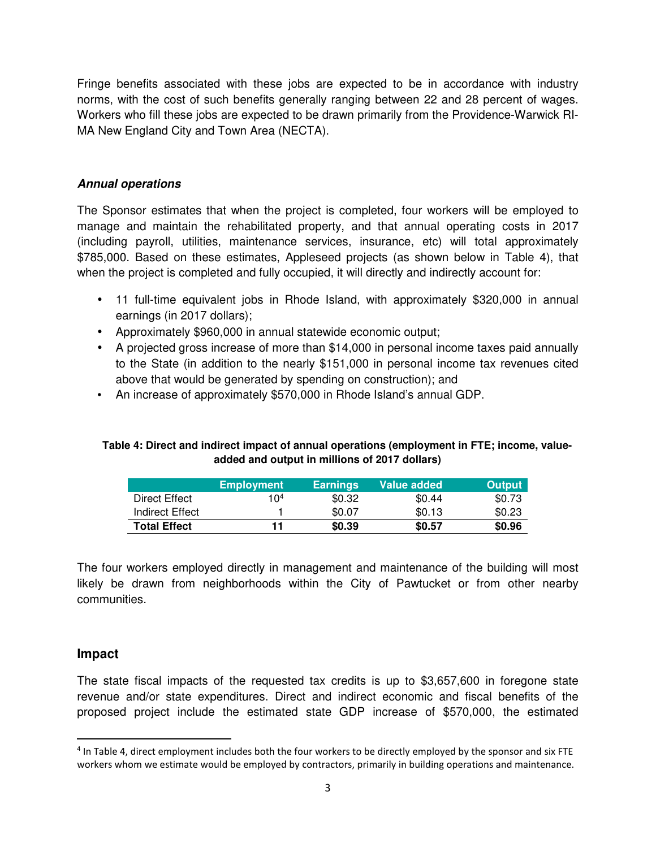Fringe benefits associated with these jobs are expected to be in accordance with industry norms, with the cost of such benefits generally ranging between 22 and 28 percent of wages. Workers who fill these jobs are expected to be drawn primarily from the Providence-Warwick RI-MA New England City and Town Area (NECTA).

#### **Annual operations**

The Sponsor estimates that when the project is completed, four workers will be employed to manage and maintain the rehabilitated property, and that annual operating costs in 2017 (including payroll, utilities, maintenance services, insurance, etc) will total approximately \$785,000. Based on these estimates, Appleseed projects (as shown below in Table 4), that when the project is completed and fully occupied, it will directly and indirectly account for:

- 11 full-time equivalent jobs in Rhode Island, with approximately \$320,000 in annual earnings (in 2017 dollars);
- Approximately \$960,000 in annual statewide economic output;
- A projected gross increase of more than \$14,000 in personal income taxes paid annually to the State (in addition to the nearly \$151,000 in personal income tax revenues cited above that would be generated by spending on construction); and
- An increase of approximately \$570,000 in Rhode Island's annual GDP.

### **Table 4: Direct and indirect impact of annual operations (employment in FTE; income, valueadded and output in millions of 2017 dollars)**

|                     | <b>Employment</b> | <b>Earnings</b> | Value added | <b>Output</b> |
|---------------------|-------------------|-----------------|-------------|---------------|
| Direct Effect       | 104               | \$0.32          | \$0.44      | \$0.73        |
| Indirect Effect     |                   | \$0.07          | \$0.13      | \$0.23        |
| <b>Total Effect</b> | 11                | \$0.39          | \$0.57      | \$0.96        |

The four workers employed directly in management and maintenance of the building will most likely be drawn from neighborhoods within the City of Pawtucket or from other nearby communities.

## **Impact**

<u>.</u>

The state fiscal impacts of the requested tax credits is up to \$3,657,600 in foregone state revenue and/or state expenditures. Direct and indirect economic and fiscal benefits of the proposed project include the estimated state GDP increase of \$570,000, the estimated

<sup>4</sup> In Table 4, direct employment includes both the four workers to be directly employed by the sponsor and six FTE workers whom we estimate would be employed by contractors, primarily in building operations and maintenance.